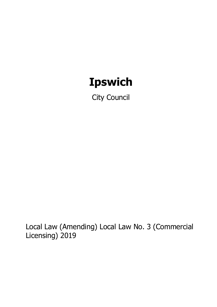# **Ipswich**

City Council

Local Law (Amending) Local Law No. 3 (Commercial Licensing) 2019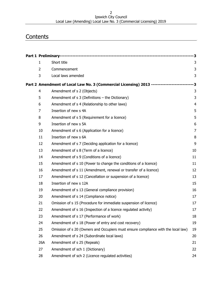#### Ipswich City Council Local Law (Amending) Local Law No. 3 (Commercial Licensing) 2019

# **Contents**

| $\mathbf{1}$   | Short title                                                                          | 3              |
|----------------|--------------------------------------------------------------------------------------|----------------|
| $\overline{2}$ | Commencement                                                                         | 3              |
| 3              | Local laws amended                                                                   | 3              |
|                | Part 2 Amendment of Local Law No. 3 (Commercial Licensing) 2013 -------------------- | -3             |
| $\overline{4}$ | Amendment of s 2 (Objects)                                                           | 3              |
| 5              | Amendment of s 3 (Definitions - the Dictionary)                                      | 3              |
| 6              | Amendment of s 4 (Relationship to other laws)                                        | $\overline{4}$ |
| 7              | Insertion of new s 4A                                                                | 5              |
| 8              | Amendment of s 5 (Requirement for a licence)                                         | 5              |
| 9              | Insertion of new s 5A                                                                | 6              |
| 10             | Amendment of s 6 (Application for a licence)                                         | $\overline{7}$ |
| 11             | Insertion of new s 6A                                                                | 8              |
| 12             | Amendment of s 7 (Deciding application for a licence)                                | 9              |
| 13             | Amendment of s 8 (Term of a licence)                                                 | 10             |
| 14             | Amendment of s 9 (Conditions of a licence)                                           | 11             |
| 15             | Amendment of s 10 (Power to change the conditions of a licence)                      | 11             |
| 16             | Amendment of s 11 (Amendment, renewal or transfer of a licence)                      | 12             |
| 17             | Amendment of s 12 (Cancellation or suspension of a licence)                          | 13             |
| 18             | Insertion of new s 12A                                                               | 15             |
| 19             | Amendment of s 13 (General compliance provision)                                     | 16             |
| 20             | Amendment of s 14 (Compliance notice)                                                | 17             |
| 21             | Omission of s 15 (Procedure for immediate suspension of licence)                     | 17             |
| 22             | Amendment of s 16 (Inspection of a licence regulated activity)                       | 17             |
| 23             | Amendment of s 17 (Performance of work)                                              | 18             |
| 24             | Amendment of s 18 (Power of entry and cost recovery)                                 | 19             |
| 25             | Omission of s 20 (Owners and Occupiers must ensure compliance with the local law)    | 19             |
| 26             | Amendment of s 24 (Subordinate local laws)                                           | 20             |
| 26A            | Amendment of s 25 (Repeals)                                                          | 21             |
| 27             | Amendment of sch 1 (Dictionary)                                                      | 22             |
| 28             | Amendment of sch 2 (Licence regulated activities)                                    | 24             |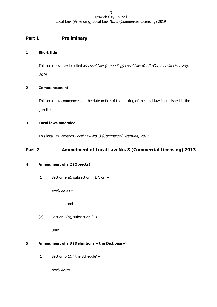# <span id="page-2-0"></span>**Part 1 Preliminary**

# <span id="page-2-1"></span>**1 Short title**

This local law may be cited as Local Law (Amending) Local Law No. 3 (Commercial Licensing)

2019.

# <span id="page-2-2"></span>**2 Commencement**

This local law commences on the date notice of the making of the local law is published in the gazette.

# <span id="page-2-3"></span>**3 Local laws amended**

This local law amends Local Law No. 3 (Commercial Licensing) 2013.

# <span id="page-2-4"></span>**Part 2 Amendment of Local Law No. 3 (Commercial Licensing) 2013**

# <span id="page-2-5"></span>**4 Amendment of s 2 (Objects)**

(1) Section 2(a), subsection (ii), '; or' –

omit, insert –

; and

(2) Section 2(a), subsection (iii)  $-$ 

omit.

# <span id="page-2-6"></span>**5 Amendment of s 3 (Definitions – the Dictionary)**

(1) Section  $3(1)$ , 'the Schedule' –

omit, insert –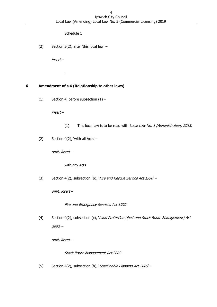Schedule 1

(2) Section 3(2), after 'this local law' –

insert –

.

# <span id="page-3-0"></span>**6 Amendment of s 4 (Relationship to other laws)**

(1) Section 4, before subsection  $(1)$  –

insert –

- (1) This local law is to be read with Local Law No. 1 (Administration) 2013.
- (2) Section  $4(2)$ , 'with all Acts' –

omit, insert –

with any Acts

(3) Section 4(2), subsection (b), 'Fire and Rescue Service Act 1990 -

omit, insert –

Fire and Emergency Services Act 1990

(4) Section 4(2), subsection (c), 'Land Protection (Pest and Stock Route Management) Act 2002' –

omit, insert –

Stock Route Management Act 2002

(5) Section 4(2), subsection (h), *Sustainable Planning Act 2009* –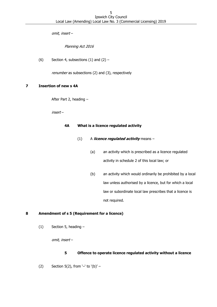omit, insert –

Planning Act 2016

(6) Section 4, subsections  $(1)$  and  $(2)$  –

renumber as subsections (2) and (3), respectively

### <span id="page-4-0"></span>**7 Insertion of new s 4A**

After Part 2, heading –

insert –

#### **4A What is a licence regulated activity**

- (1) A **licence regulated activity** means
	- (a) an activity which is prescribed as a licence regulated activity in schedule 2 of this local law; or
	- (b) an activity which would ordinarily be prohibited by a local law unless authorised by a licence, but for which a local law or subordinate local law prescribes that a licence is not required.

# <span id="page-4-1"></span>**8 Amendment of s 5 (Requirement for a licence)**

(1) Section 5, heading –

omit, insert –

# **5 Offence to operate licence regulated activity without a licence**

(2) Section 5(2), from '-' to '(b)' -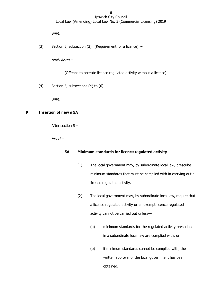omit.

(3) Section 5, subsection (3), '(Requirement for a licence)' –

omit, insert –

(Offence to operate licence regulated activity without a licence)

(4) Section 5, subsections (4) to  $(6)$  –

omit.

# <span id="page-5-0"></span>**9 Insertion of new s 5A**

After section 5 –

insert –

# **5A Minimum standards for licence regulated activity**

- (1) The local government may, by subordinate local law, prescribe minimum standards that must be complied with in carrying out a licence regulated activity.
- (2) The local government may, by subordinate local law, require that a licence regulated activity or an exempt licence regulated activity cannot be carried out unless—
	- (a) minimum standards for the regulated activity prescribed in a subordinate local law are complied with; or
	- (b) if minimum standards cannot be complied with, the written approval of the local government has been obtained.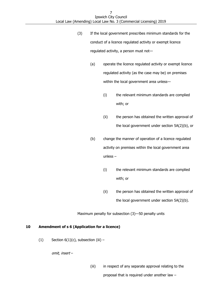- (3) If the local government prescribes minimum standards for the conduct of a licence regulated activity or exempt licence regulated activity, a person must not—
	- (a) operate the licence regulated activity or exempt licence regulated activity (as the case may be) on premises within the local government area unless—
		- (i) the relevant minimum standards are complied with; or
		- (ii) the person has obtained the written approval of the local government under section 5A(2)(b), or
	- (b) change the manner of operation of a licence regulated activity on premises within the local government area unless –
		- (i) the relevant minimum standards are complied with; or
		- (ii) the person has obtained the written approval of the local government under section 5A(2)(b).

Maximum penalty for subsection (3)—50 penalty units

# <span id="page-6-0"></span>**10 Amendment of s 6 (Application for a licence)**

(1) Section  $6(1)(c)$ , subsection (iii) –

omit, insert –

(iii) in respect of any separate approval relating to the proposal that is required under another law –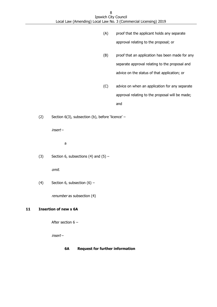- (A) proof that the applicant holds any separate approval relating to the proposal; or
- (B) proof that an application has been made for any separate approval relating to the proposal and advice on the status of that application; or
- (C) advice on when an application for any separate approval relating to the proposal will be made; and
- (2) Section 6(3), subsection (b), before 'licence' –

insert –

a

(3) Section 6, subsections (4) and  $(5)$  –

omit.

(4) Section 6, subsection  $(6)$  –

renumber as subsection (4)

# <span id="page-7-0"></span>**11 Insertion of new s 6A**

After section 6 –

insert –

# **6A Request for further information**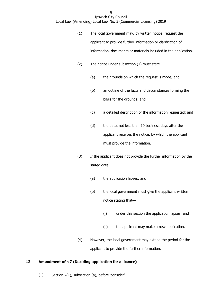- (1) The local government may, by written notice, request the applicant to provide further information or clarification of information, documents or materials included in the application.
- (2) The notice under subsection (1) must state—
	- (a) the grounds on which the request is made; and
	- (b) an outline of the facts and circumstances forming the basis for the grounds; and
	- (c) a detailed description of the information requested; and
	- (d) the date, not less than 10 business days after the applicant receives the notice, by which the applicant must provide the information.
- (3) If the applicant does not provide the further information by the stated date—
	- (a) the application lapses; and
	- (b) the local government must give the applicant written notice stating that—
		- (i) under this section the application lapses; and
		- (ii) the applicant may make a new application.
- (4) However, the local government may extend the period for the applicant to provide the further information.

# <span id="page-8-0"></span>**12 Amendment of s 7 (Deciding application for a licence)**

(1) Section 7(1), subsection (a), before 'consider' –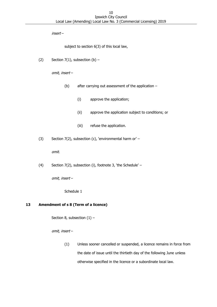insert –

subject to section 6(3) of this local law,

(2) Section  $7(1)$ , subsection (b) -

omit, insert –

- (b) after carrying out assessment of the application
	- (i) approve the application;
	- (ii) approve the application subject to conditions; or
	- (iii) refuse the application.
- (3) Section 7(2), subsection (c), 'environmental harm or' –

omit.

(4) Section 7(2), subsection (i), footnote 3, 'the Schedule' –

omit, insert –

Schedule 1

# <span id="page-9-0"></span>**13 Amendment of s 8 (Term of a licence)**

Section 8, subsection  $(1)$  –

omit, insert –

(1) Unless sooner cancelled or suspended, a licence remains in force from the date of issue until the thirtieth day of the following June unless otherwise specified in the licence or a subordinate local law.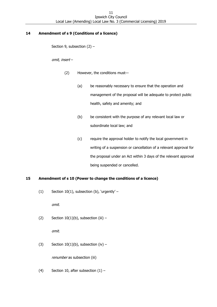# <span id="page-10-0"></span>**14 Amendment of s 9 (Conditions of a licence)**

Section 9, subsection (2) –

omit, insert –

- (2) However, the conditions must—
	- (a) be reasonably necessary to ensure that the operation and management of the proposal will be adequate to protect public health, safety and amenity; and
	- (b) be consistent with the purpose of any relevant local law or subordinate local law; and
	- (c) require the approval holder to notify the local government in writing of a suspension or cancellation of a relevant approval for the proposal under an Act within 3 days of the relevant approval being suspended or cancelled.

# <span id="page-10-1"></span>**15 Amendment of s 10 (Power to change the conditions of a licence)**

(1) Section 10(1), subsection (b), 'urgently' –

omit.

(2) Section  $10(1)(b)$ , subsection (iii) -

omit.

(3) Section  $10(1)(b)$ , subsection (iv) -

renumber as subsection (iii)

(4) Section 10, after subsection  $(1)$  –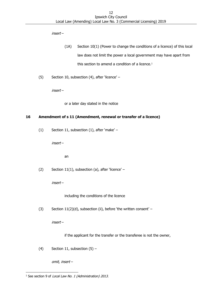insert –

- (1A) Section 10(1) (Power to change the conditions of a licence) of this local law does not limit the power a local government may have apart from this section to amend a condition of a licence. 1
- (5) Section 10, subsection (4), after 'licence' –

insert –

or a later day stated in the notice

# <span id="page-11-0"></span>**16 Amendment of s 11 (Amendment, renewal or transfer of a licence)**

(1) Section 11, subsection (1), after 'make' –

insert –

an

(2) Section 11(1), subsection (a), after 'licence' –

insert –

including the conditions of the licence

(3) Section 11(2)(d), subsection (ii), before 'the written consent' –

insert –

if the applicant for the transfer or the transferee is not the owner,

(4) Section 11, subsection  $(5)$  –

omit, insert –

<sup>-</sup><sup>1</sup> See section 9 of *Local Law No. 1 (Administration) 2013*.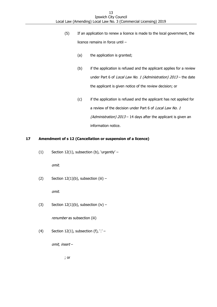- (5) If an application to renew a licence is made to the local government, the licence remains in force until –
	- (a) the application is granted;
	- (b) if the application is refused and the applicant applies for a review under Part 6 of Local Law No. 1 (Administration) 2013 - the date the applicant is given notice of the review decision; or
	- (c) if the application is refused and the applicant has not applied for a review of the decision under Part 6 of Local Law No. 1 (Administration)  $2013 - 14$  days after the applicant is given an information notice.

# <span id="page-12-0"></span>**17 Amendment of s 12 (Cancellation or suspension of a licence)**

(1) Section 12(1), subsection (b), 'urgently' –

omit.

(2) Section  $12(1)(b)$ , subsection (iii) -

omit.

(3) Section  $12(1)(b)$ , subsection (iv) –

renumber as subsection (iii)

(4) Section 12(1), subsection (f),  $\cdot$  ' -

omit, insert –

; or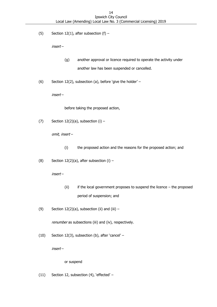(5) Section 12(1), after subsection (f)  $-$ 

insert –

- (g) another approval or licence required to operate the activity under another law has been suspended or cancelled.
- (6) Section 12(2), subsection (a), before 'give the holder' –

insert –

before taking the proposed action,

(7) Section  $12(2)(a)$ , subsection  $(i)$  –

omit, insert –

- (i) the proposed action and the reasons for the proposed action; and
- (8) Section 12(2)(a), after subsection (i)  $-$

insert –

- (ii) if the local government proposes to suspend the licence the proposed period of suspension; and
- (9) Section  $12(2)(a)$ , subsection (ii) and (iii) –

renumber as subsections (iii) and (iv), respectively.

(10) Section 12(3), subsection (b), after 'cancel' –

insert –

#### or suspend

(11) Section 12, subsection (4), 'effected' –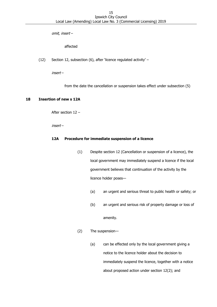omit, insert –

affected

(12) Section 12, subsection (6), after 'licence regulated activity' –

insert –

from the date the cancellation or suspension takes effect under subsection (5)

### <span id="page-14-0"></span>**18 Insertion of new s 12A**

After section 12 –

insert –

### **12A Procedure for immediate suspension of a licence**

- (1) Despite section 12 (Cancellation or suspension of a licence), the local government may immediately suspend a licence if the local government believes that continuation of the activity by the licence holder poses—
	- (a) an urgent and serious threat to public health or safety; or
	- (b) an urgent and serious risk of property damage or loss of

amenity.

- (2) The suspension—
	- (a) can be effected only by the local government giving a notice to the licence holder about the decision to immediately suspend the licence, together with a notice about proposed action under section 12(2); and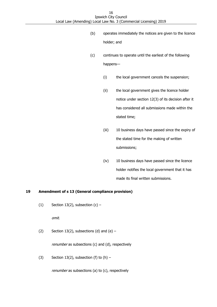- (b) operates immediately the notices are given to the licence holder; and
- (c) continues to operate until the earliest of the following happens—
	- (i) the local government cancels the suspension;
	- (ii) the local government gives the licence holder notice under section 12(3) of its decision after it has considered all submissions made within the stated time;
	- (iii) 10 business days have passed since the expiry of the stated time for the making of written submissions;
	- (iv) 10 business days have passed since the licence holder notifies the local government that it has made its final written submissions.

# <span id="page-15-0"></span>**19 Amendment of s 13 (General compliance provision)**

(1) Section 13(2), subsection  $(c)$  –

omit.

(2) Section 13(2), subsections (d) and  $(e)$  –

renumber as subsections (c) and (d), respectively

(3) Section 13(2), subsection (f) to  $(h)$  –

renumber as subsections (a) to (c), respectively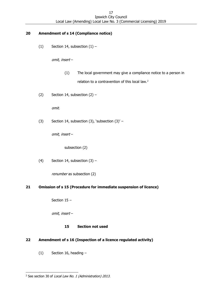# <span id="page-16-0"></span>**20 Amendment of s 14 (Compliance notice)**

(1) Section 14, subsection  $(1)$  –

omit, insert –

- (1) The local government may give a compliance notice to a person in relation to a contravention of this local law.<sup>2</sup>
- (2) Section 14, subsection  $(2)$  –

omit.

(3) Section 14, subsection (3), 'subsection  $(3)'$  –

omit, insert –

subsection (2)

(4) Section 14, subsection  $(3)$  –

renumber as subsection (2)

# <span id="page-16-1"></span>**21 Omission of s 15 (Procedure for immediate suspension of licence)**

Section 15 –

omit, insert –

# **15 Section not used**

# <span id="page-16-2"></span>**22 Amendment of s 16 (Inspection of a licence regulated activity)**

(1) Section 16, heading –

<sup>-</sup><sup>2</sup> See section 30 of *Local Law No. 1 (Administration) 2013*.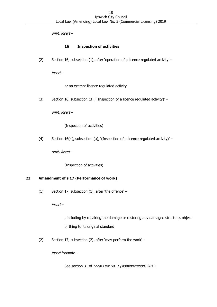omit, insert –

# **16 Inspection of activities**

(2) Section 16, subsection (1), after 'operation of a licence regulated activity' –

insert –

or an exempt licence regulated activity

(3) Section 16, subsection (3), '(Inspection of a licence regulated activity)' –

omit, insert –

(Inspection of activities)

(4) Section 16(4), subsection (a), '(Inspection of a licence regulated activity)' –

omit, insert –

(Inspection of activities)

# <span id="page-17-0"></span>**23 Amendment of s 17 (Performance of work)**

(1) Section 17, subsection (1), after 'the offence' –

insert –

, including by repairing the damage or restoring any damaged structure, object or thing to its original standard

(2) Section 17, subsection (2), after 'may perform the work' –

insert footnote –

See section 31 of Local Law No. 1 (Administration) 2013.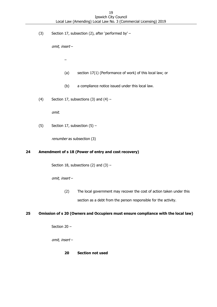(3) Section 17, subsection (2), after 'performed by' –

omit, insert –

–

- (a) section 17(1) (Performance of work) of this local law; or
- (b) a compliance notice issued under this local law.
- (4) Section 17, subsections (3) and  $(4)$  –

omit.

(5) Section 17, subsection  $(5)$  –

renumber as subsection (3)

#### <span id="page-18-0"></span>**24 Amendment of s 18 (Power of entry and cost recovery)**

Section 18, subsections (2) and (3)  $-$ 

omit, insert –

(2) The local government may recover the cost of action taken under this section as a debt from the person responsible for the activity.

### <span id="page-18-1"></span>**25 Omission of s 20 (Owners and Occupiers must ensure compliance with the local law)**

Section 20 –

omit, insert –

#### **20 Section not used**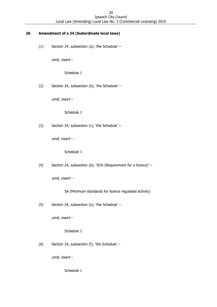# <span id="page-19-0"></span>**26 Amendment of s 24 (Subordinate local laws)**

(1) Section 24, subsection (a), 'the Schedule' –

omit, insert –

Schedule 1

(2) Section 24, subsection (b), 'the Schedule' –

omit, insert –

Schedule 1

(3) Section 24, subsection (c), 'the Schedule' –

omit, insert –

Schedule 1

(4) Section 24, subsection (d), '5(4) (Requirement for a licence)' –

omit, insert –

- 5A (Minimum standards for licence regulated activity)
- (5) Section 24, subsection (e), 'the Schedule' –

omit, insert –

Schedule 1

(6) Section 24, subsection (f), 'the Schedule' –

omit, insert –

Schedule 1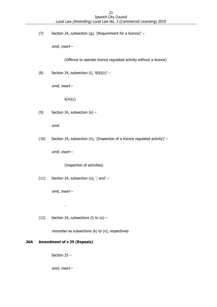(7) Section 24, subsection (g), '(Requirement for a licence)' –

omit, insert –

(Offence to operate licence regulated activity without a licence)

(8) Section 24, subsection (i),  $6(6)(c)$  –

omit, insert –

6(4)(c)

(9) Section 24, subsection  $(k)$  –

omit.

(10) Section 24, subsection (n), '(Inspection of a licence regulated activity)' –

omit, insert –

(Inspection of activities)

 $(11)$  Section 24, subsection  $(o)$ , '; and' –

omit, insert –

.

(12) Section 24, subsections (I) to  $(o)$  –

renumber as subsections (k) to (n), respectively

# <span id="page-20-0"></span>**26A Amendment of s 25 (Repeals)**

Section 25 –

omit, insert –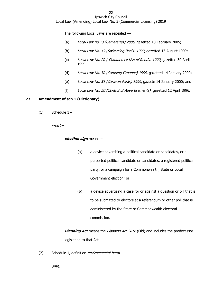The following Local Laws are repealed  $-$ 

- (a) Local Law no.13 (Cemeteries) 2005, gazetted 18 February 2005;
- (b) Local Law No. 19 (Swimming Pools) 1999, gazetted 13 August 1999;
- (c) Local Law No. 20 ( Commercial Use of Roads) 1999, gazetted 30 April 1999;
- (d) Local Law No. 30 (Camping Grounds) 1999, gazetted 14 January 2000;
- (e) Local Law No. 31 (Caravan Parks) 1999, gazette 14 January 2000; and
- (f) Local Law No. 50 (Control of Advertisements), gazetted 12 April 1996.

#### <span id="page-21-0"></span>**27 Amendment of sch 1 (Dictionary)**

 $(1)$  Schedule  $1 -$ 

insert –

#### **election sign** means –

- (a) a device advertising a political candidate or candidates, or a purported political candidate or candidates, a registered political party, or a campaign for a Commonwealth, State or Local Government election; or
- (b) a device advertising a case for or against a question or bill that is to be submitted to electors at a referendum or other poll that is administered by the State or Commonwealth electoral commission.

**Planning Act** means the Planning Act 2016 (Qld) and includes the predecessor legislation to that Act.

(2) Schedule 1, definition environmental harm –

omit.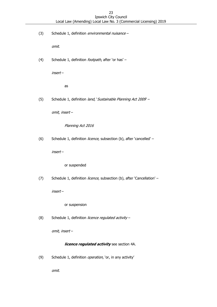(3) Schedule 1, definition environmental nuisance -

omit.

(4) Schedule 1, definition *footpath*, after 'or has' -

insert –

as

(5) Schedule 1, definition land, 'Sustainable Planning Act 2009 -

omit, insert –

Planning Act 2016

(6) Schedule 1, definition *licence*, subsection (b), after 'cancelled' –

insert –

or suspended

(7) Schedule 1, definition licence, subsection (b), after 'Cancellation' -

insert –

or suspension

(8) Schedule 1, definition licence regulated activity -

omit, insert –

#### **licence regulated activity** see section 4A.

(9) Schedule 1, definition *operation*, 'or, in any activity'

omit.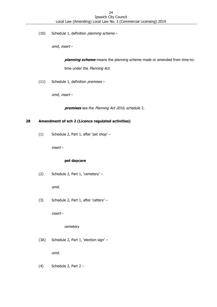(10) Schedule 1, definition planning scheme -

omit, insert –

**planning scheme** means the planning scheme made or amended from time-totime under the Planning Act.

(11) Schedule 1, definition premises -

omit, insert –

**premises** see the Planning Act 2016, schedule 2.

# <span id="page-23-0"></span>**28 Amendment of sch 2 (Licence regulated activities)**

(1) Schedule 2, Part 1, after 'pet shop' –

insert –

#### **pet daycare**

(2) Schedule 2, Part 1, 'cemetery' –

omit.

(3) Schedule 2, Part 1, after 'cattery' –

insert –

cemetery

(3A) Schedule 2, Part 1, 'election sign' –

omit.

(4) Schedule 2, Part  $2 -$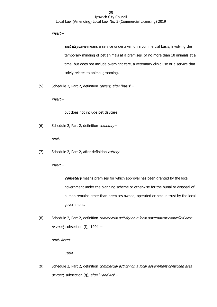insert –

**pet daycare** means a service undertaken on a commercial basis, involving the temporary minding of pet animals at a premises, of no more than 10 animals at a time, but does not include overnight care, a veterinary clinic use or a service that solely relates to animal grooming.

(5) Schedule 2, Part 2, definition *cattery*, after 'basis' -

insert –

but does not include pet daycare.

(6) Schedule 2, Part 2, definition cemetery –

omit.

(7) Schedule 2, Part 2, after definition cattery -

insert –

**cemetery** means premises for which approval has been granted by the local government under the planning scheme or otherwise for the burial or disposal of human remains other than premises owned, operated or held in trust by the local government.

(8) Schedule 2, Part 2, definition *commercial activity on a local government controlled area* or road, subsection (f), '1994' -

omit, insert –

1994

(9) Schedule 2, Part 2, definition *commercial activity on a local government controlled area* or road, subsection (g), after 'Land Act' –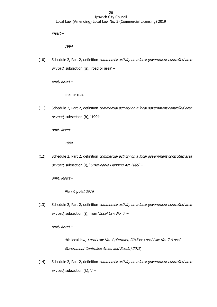insert –

1994

(10) Schedule 2, Part 2, definition *commercial activity on a local government controlled area* or road, subsection (g), 'road or area'  $-$ 

omit, insert –

area or road

(11) Schedule 2, Part 2, definition *commercial activity on a local government controlled area* or road, subsection (h), '1994' -

omit, insert –

1994

(12) Schedule 2, Part 2, definition commercial activity on a local government controlled area or road, subsection (i), 'Sustainable Planning Act 2009' -

omit, insert –

Planning Act 2016

(13) Schedule 2, Part 2, definition *commercial activity on a local government controlled area* or road, subsection (j), from 'Local Law No.  $7$  –

omit, insert –

this local law, Local Law No. 4 (Permits) 2013 or Local Law No. 7 (Local Government Controlled Areas and Roads) 2013;

(14) Schedule 2, Part 2, definition *commercial activity on a local government controlled area* or road, subsection  $(k)$ ,  $'$  –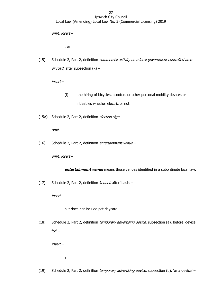omit, insert –

; or

(15) Schedule 2, Part 2, definition *commercial activity on a local government controlled area* or road, after subsection (k) -

insert –

- (l) the hiring of bicycles, scooters or other personal mobility devices or rideables whether electric or not.
- (15A) Schedule 2, Part 2, definition election sign -

omit.

(16) Schedule 2, Part 2, definition entertainment venue –

omit, insert –

**entertainment venue** means those venues identified in a subordinate local law.

(17) Schedule 2, Part 2, definition kennel, after 'basis' -

insert –

but does not include pet daycare.

(18) Schedule 2, Part 2, definition temporary advertising device, subsection (a), before 'device for' –

insert –

a

(19) Schedule 2, Part 2, definition temporary advertising device, subsection (b), 'or a device' –